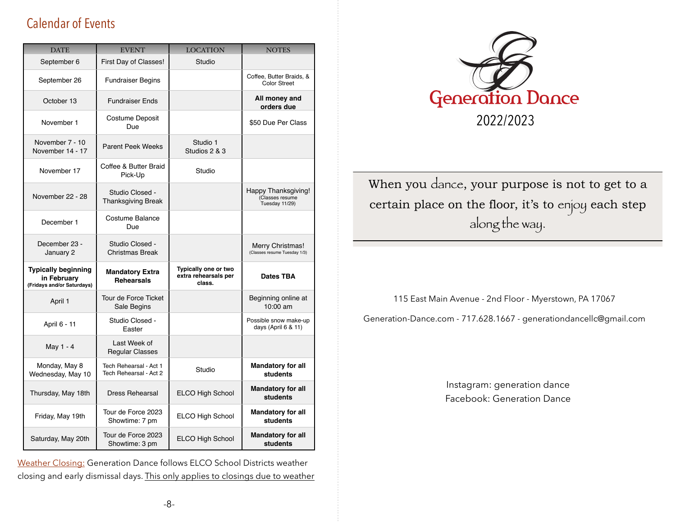# Calendar of Events

| <b>DATE</b>                                                             | <b>EVENT</b>                                     | <b>LOCATION</b>                                        | <b>NOTES</b>                                             |
|-------------------------------------------------------------------------|--------------------------------------------------|--------------------------------------------------------|----------------------------------------------------------|
| September 6                                                             | First Day of Classes!                            | Studio                                                 |                                                          |
| September 26                                                            | <b>Fundraiser Begins</b>                         |                                                        | Coffee, Butter Braids, &<br><b>Color Street</b>          |
| October 13                                                              | <b>Fundraiser Ends</b>                           |                                                        | All money and<br>orders due                              |
| November 1                                                              | Costume Deposit<br>Due                           |                                                        | \$50 Due Per Class                                       |
| November 7 - 10<br>November 14 - 17                                     | <b>Parent Peek Weeks</b>                         | Studio 1<br>Studios 2 & 3                              |                                                          |
| November 17                                                             | Coffee & Butter Braid<br>Pick-Up                 | Studio                                                 |                                                          |
| November 22 - 28                                                        | Studio Closed -<br><b>Thanksgiving Break</b>     |                                                        | Happy Thanksgiving!<br>(Classes resume<br>Tuesday 11/29) |
| December 1                                                              | Costume Balance<br>Due                           |                                                        |                                                          |
| December 23 -<br>January 2                                              | Studio Closed -<br><b>Christmas Break</b>        |                                                        | Merry Christmas!<br>(Classes resume Tuesday 1/3)         |
| <b>Typically beginning</b><br>in February<br>(Fridays and/or Saturdays) | <b>Mandatory Extra</b><br><b>Rehearsals</b>      | Typically one or two<br>extra rehearsals per<br>class. | Dates TBA                                                |
| April 1                                                                 | Tour de Force Ticket<br>Sale Begins              |                                                        | Beginning online at<br>10:00 am                          |
| April 6 - 11                                                            | Studio Closed -<br>Easter                        |                                                        | Possible snow make-up<br>days (April $6$ & 11)           |
| May 1 - 4                                                               | Last Week of<br><b>Regular Classes</b>           |                                                        |                                                          |
| Monday, May 8<br>Wednesday, May 10                                      | Tech Rehearsal - Act 1<br>Tech Rehearsal - Act 2 | Studio                                                 | <b>Mandatory for all</b><br>students                     |
| Thursday, May 18th                                                      | <b>Dress Rehearsal</b>                           | ELCO High School                                       | <b>Mandatory for all</b><br>students                     |
| Friday, May 19th                                                        | Tour de Force 2023<br>Showtime: 7 pm             | ELCO High School                                       | <b>Mandatory for all</b><br>students                     |
| Saturday, May 20th                                                      | Tour de Force 2023<br>Showtime: 3 pm             | ELCO High School                                       | <b>Mandatory for all</b><br>students                     |

Weather Closing: Generation Dance follows ELCO School Districts weather closing and early dismissal days. This only applies to closings due to weather



When you dance, your purpose is not to get to a certain place on the floor, it's to enjoy each step along the way.

115 East Main Avenue - 2nd Floor - Myerstown, PA 17067

[Generation-Dance.com](http://generation-dance.com) - 717.628.1667 - [generationdancellc@gmail.com](mailto:generationdancellc@gmail.com)

Instagram: generation dance Facebook: Generation Dance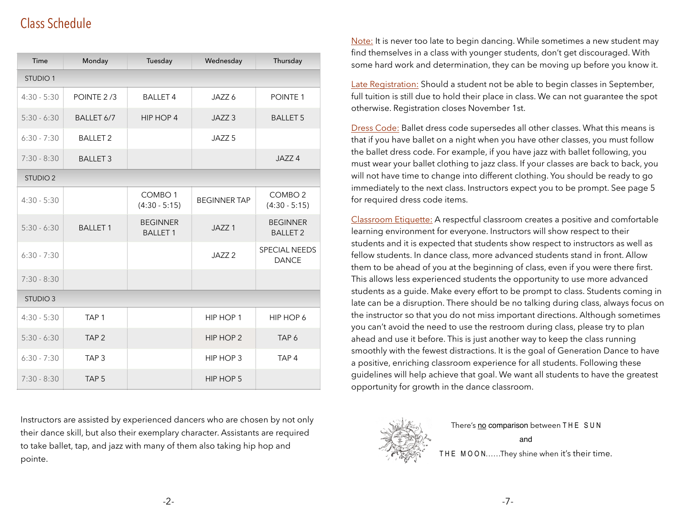# Class Schedule

| Time            | Monday           | Tuesday                               | Wednesday           | Thursday                              |
|-----------------|------------------|---------------------------------------|---------------------|---------------------------------------|
| <b>STUDIO 1</b> |                  |                                       |                     |                                       |
| $4:30 - 5:30$   | POINTE 2/3       | <b>BALLET 4</b>                       | JAZZ 6              | POINTE <sub>1</sub>                   |
| $5:30 - 6:30$   | BALLET 6/7       | HIP HOP 4                             | JAZZ <sub>3</sub>   | <b>BALLET 5</b>                       |
| $6:30 - 7:30$   | <b>BALLET 2</b>  |                                       | JAZZ <sub>5</sub>   |                                       |
| $7:30 - 8:30$   | <b>BALLET 3</b>  |                                       |                     | JAZZ <sub>4</sub>                     |
| <b>STUDIO 2</b> |                  |                                       |                     |                                       |
| $4:30 - 5:30$   |                  | COMBO <sub>1</sub><br>$(4:30 - 5:15)$ | <b>BEGINNER TAP</b> | COMBO <sub>2</sub><br>$(4:30 - 5:15)$ |
| $5:30 - 6:30$   | <b>BALLET 1</b>  | <b>BEGINNER</b><br><b>BALLET 1</b>    | JAZZ <sub>1</sub>   | <b>BEGINNER</b><br><b>BALLET 2</b>    |
| $6:30 - 7:30$   |                  |                                       | JAZZ <sub>2</sub>   | <b>SPECIAL NEEDS</b><br><b>DANCE</b>  |
| $7:30 - 8:30$   |                  |                                       |                     |                                       |
| <b>STUDIO 3</b> |                  |                                       |                     |                                       |
| $4:30 - 5:30$   | TAP <sub>1</sub> |                                       | HIP HOP 1           | HIP HOP 6                             |
| $5:30 - 6:30$   | TAP <sub>2</sub> |                                       | HIP HOP 2           | TAP 6                                 |
| $6:30 - 7:30$   | TAP <sub>3</sub> |                                       | HIP HOP 3           | TAP <sub>4</sub>                      |
| $7:30 - 8:30$   | TAP <sub>5</sub> |                                       | HIP HOP 5           |                                       |

Instructors are assisted by experienced dancers who are chosen by not only their dance skill, but also their exemplary character. Assistants are required to take ballet, tap, and jazz with many of them also taking hip hop and pointe.

Note: It is never too late to begin dancing. While sometimes a new student may find themselves in a class with younger students, don't get discouraged. With some hard work and determination, they can be moving up before you know it.

Late Registration: Should a student not be able to begin classes in September, full tuition is still due to hold their place in class. We can not guarantee the spot otherwise. Registration closes November 1st.

Dress Code: Ballet dress code supersedes all other classes. What this means is that if you have ballet on a night when you have other classes, you must follow the ballet dress code. For example, if you have jazz with ballet following, you must wear your ballet clothing to jazz class. If your classes are back to back, you will not have time to change into different clothing. You should be ready to go immediately to the next class. Instructors expect you to be prompt. See page 5 for required dress code items.

Classroom Etiquette: A respectful classroom creates a positive and comfortable learning environment for everyone. Instructors will show respect to their students and it is expected that students show respect to instructors as well as fellow students. In dance class, more advanced students stand in front. Allow them to be ahead of you at the beginning of class, even if you were there first. This allows less experienced students the opportunity to use more advanced students as a guide. Make every effort to be prompt to class. Students coming in late can be a disruption. There should be no talking during class, always focus on the instructor so that you do not miss important directions. Although sometimes you can't avoid the need to use the restroom during class, please try to plan ahead and use it before. This is just another way to keep the class running smoothly with the fewest distractions. It is the goal of Generation Dance to have a positive, enriching classroom experience for all students. Following these guidelines will help achieve that goal. We want all students to have the greatest opportunity for growth in the dance classroom.



There's no comparison between THE SUN and

THE MOON......They shine when it's their time.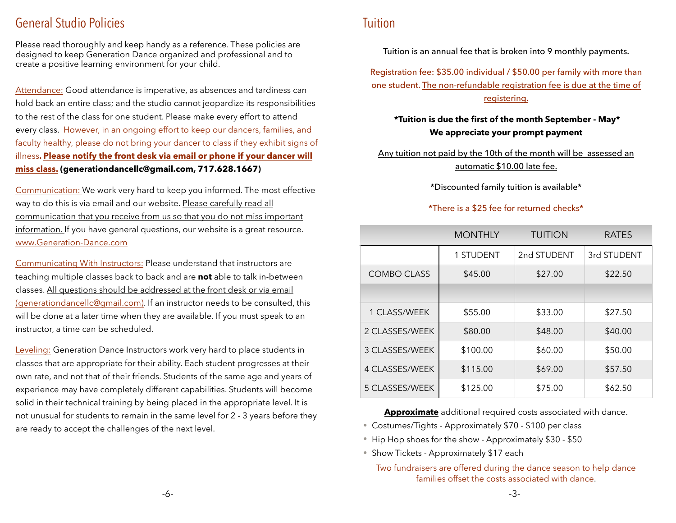## General Studio Policies

Please read thoroughly and keep handy as a reference. These policies are designed to keep Generation Dance organized and professional and to create a positive learning environment for your child.

Attendance: Good attendance is imperative, as absences and tardiness can hold back an entire class; and the studio cannot jeopardize its responsibilities to the rest of the class for one student. Please make every effort to attend every class. However, in an ongoing effort to keep our dancers, families, and faculty healthy, please do not bring your dancer to class if they exhibit signs of illness**. Please notify the front desk via email or phone if your dancer will miss class. [\(generationdancellc@gmail.com,](mailto:generationdancellc@gmail.com?subject=) 717.628.1667)**

Communication: We work very hard to keep you informed. The most effective way to do this is via email and our website. Please carefully read all communication that you receive from us so that you do not miss important information. If you have general questions, our website is a great resource. www.[Generation-Dance.com](http://generation-dance.com)

Communicating With Instructors: Please understand that instructors are teaching multiple classes back to back and are **not** able to talk in-between classes. All questions should be addressed at the front desk or via email [\(generationdancellc@gmail.com](mailto:generationdancellc@gmail.com)). If an instructor needs to be consulted, this will be done at a later time when they are available. If you must speak to an instructor, a time can be scheduled.

Leveling: Generation Dance Instructors work very hard to place students in classes that are appropriate for their ability. Each student progresses at their own rate, and not that of their friends. Students of the same age and years of experience may have completely different capabilities. Students will become solid in their technical training by being placed in the appropriate level. It is not unusual for students to remain in the same level for 2 - 3 years before they are ready to accept the challenges of the next level.

## Tuition

Tuition is an annual fee that is broken into 9 monthly payments.

Registration fee: \$35.00 individual / \$50.00 per family with more than one student. The non-refundable registration fee is due at the time of registering.

#### **\*Tuition is due the first of the month September - May\* We appreciate your prompt payment**

Any tuition not paid by the 10th of the month will be assessed an automatic \$10.00 late fee.

\*Discounted family tuition is available\*

#### \*There is a \$25 fee for returned checks\*

|                    | <b>MONTHLY</b>   | <b>TUITION</b> | <b>RATES</b> |
|--------------------|------------------|----------------|--------------|
|                    | <b>1 STUDENT</b> | 2nd STUDENT    | 3rd STUDENT  |
| <b>COMBO CLASS</b> | \$45.00          | \$27.00        | \$22.50      |
|                    |                  |                |              |
| 1 CLASS/WEEK       | \$55.00          | \$33.00        | \$27.50      |
| 2 CLASSES/WEEK     | \$80.00          | \$48.00        | \$40.00      |
| 3 CLASSES/WEEK     | \$100.00         | \$60.00        | \$50.00      |
| 4 CLASSES/WEEK     | \$115.00         | \$69.00        | \$57.50      |
| 5 CLASSES/WEEK     | \$125.00         | \$75.00        | \$62.50      |

**Approximate** additional required costs associated with dance.

- Costumes/Tights Approximately \$70 \$100 per class
- Hip Hop shoes for the show Approximately \$30 \$50
- Show Tickets Approximately \$17 each

Two fundraisers are offered during the dance season to help dance families offset the costs associated with dance.